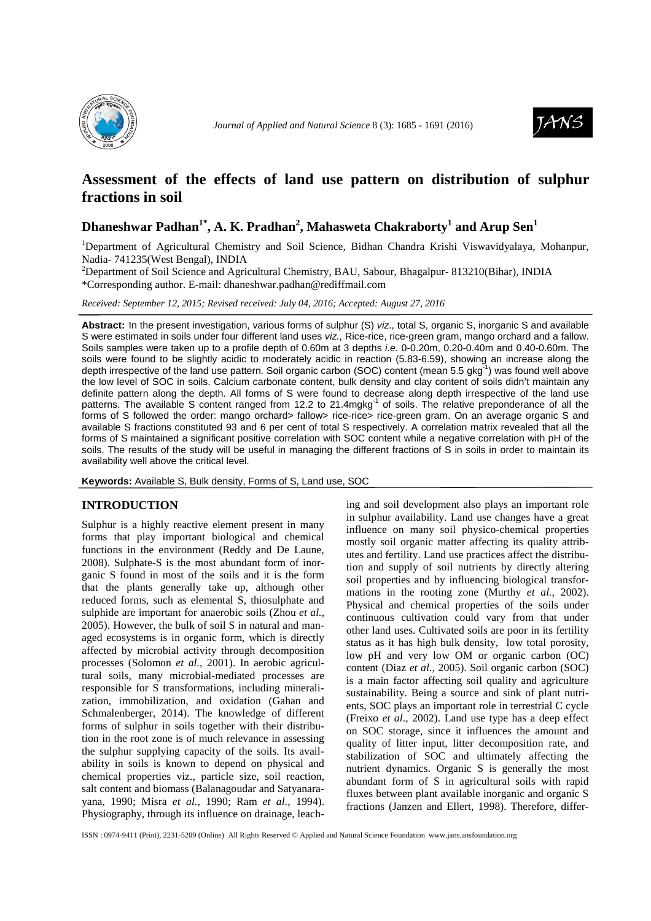



# **Assessment of the effects of land use pattern on distribution of sulphur fractions in soil**

# **Dhaneshwar Padhan1\*, A. K. Pradhan<sup>2</sup> , Mahasweta Chakraborty<sup>1</sup> and Arup Sen<sup>1</sup>**

<sup>1</sup>Department of Agricultural Chemistry and Soil Science, Bidhan Chandra Krishi Viswavidyalaya, Mohanpur, Nadia- 741235(West Bengal), INDIA

<sup>2</sup>Department of Soil Science and Agricultural Chemistry, BAU, Sabour, Bhagalpur-813210(Bihar), INDIA \*Corresponding author. E-mail: dhaneshwar.padhan@rediffmail.com

*Received: September 12, 2015; Revised received: July 04, 2016; Accepted: August 27, 2016*

**Abstract:** In the present investigation, various forms of sulphur (S) viz., total S, organic S, inorganic S and available S were estimated in soils under four different land uses viz., Rice-rice, rice-green gram, mango orchard and a fallow. Soils samples were taken up to a profile depth of 0.60m at 3 depths i.e. 0-0.20m, 0.20-0.40m and 0.40-0.60m. The soils were found to be slightly acidic to moderately acidic in reaction (5.83-6.59), showing an increase along the depth irrespective of the land use pattern. Soil organic carbon (SOC) content (mean 5.5 gkg<sup>-1</sup>) was found well above the low level of SOC in soils. Calcium carbonate content, bulk density and clay content of soils didn't maintain any definite pattern along the depth. All forms of S were found to decrease along depth irrespective of the land use patterns. The available S content ranged from 12.2 to 21.4mgkg<sup>-1</sup> of soils. The relative preponderance of all the forms of S followed the order: mango orchard> fallow> rice-rice> rice-green gram. On an average organic S and available S fractions constituted 93 and 6 per cent of total S respectively. A correlation matrix revealed that all the forms of S maintained a significant positive correlation with SOC content while a negative correlation with pH of the soils. The results of the study will be useful in managing the different fractions of S in soils in order to maintain its availability well above the critical level.

**Keywords:** Available S, Bulk density, Forms of S, Land use, SOC

## **INTRODUCTION**

Sulphur is a highly reactive element present in many forms that play important biological and chemical functions in the environment (Reddy and De Laune, 2008). Sulphate-S is the most abundant form of inorganic S found in most of the soils and it is the form that the plants generally take up, although other reduced forms, such as elemental S, thiosulphate and sulphide are important for anaerobic soils (Zhou *et al.,* 2005). However, the bulk of soil S in natural and managed ecosystems is in organic form, which is directly affected by microbial activity through decomposition processes (Solomon *et al.,* 2001). In aerobic agricultural soils, many microbial-mediated processes are responsible for S transformations, including mineralization, immobilization, and oxidation (Gahan and Schmalenberger, 2014). The knowledge of different forms of sulphur in soils together with their distribution in the root zone is of much relevance in assessing the sulphur supplying capacity of the soils. Its availability in soils is known to depend on physical and chemical properties viz., particle size, soil reaction, salt content and biomass (Balanagoudar and Satyanarayana, 1990; Misra *et al.,* 1990; Ram *et al.,* 1994). Physiography, through its influence on drainage, leaching and soil development also plays an important role in sulphur availability. Land use changes have a great influence on many soil physico-chemical properties mostly soil organic matter affecting its quality attributes and fertility. Land use practices affect the distribution and supply of soil nutrients by directly altering soil properties and by influencing biological transformations in the rooting zone (Murthy *et al.,* 2002). Physical and chemical properties of the soils under continuous cultivation could vary from that under other land uses. Cultivated soils are poor in its fertility status as it has high bulk density, low total porosity, low pH and very low OM or organic carbon (OC) content (Diaz *et al.,* 2005). Soil organic carbon (SOC) is a main factor affecting soil quality and agriculture sustainability. Being a source and sink of plant nutrients, SOC plays an important role in terrestrial C cycle (Freixo *et al*., 2002). Land use type has a deep effect on SOC storage, since it influences the amount and quality of litter input, litter decomposition rate, and stabilization of SOC and ultimately affecting the nutrient dynamics. Organic S is generally the most abundant form of S in agricultural soils with rapid fluxes between plant available inorganic and organic S fractions (Janzen and Ellert, 1998). Therefore, differ-

ISSN : 0974-9411 (Print), 2231-5209 (Online) All Rights Reserved © Applied and Natural Science Foundation www.jans.ansfoundation.org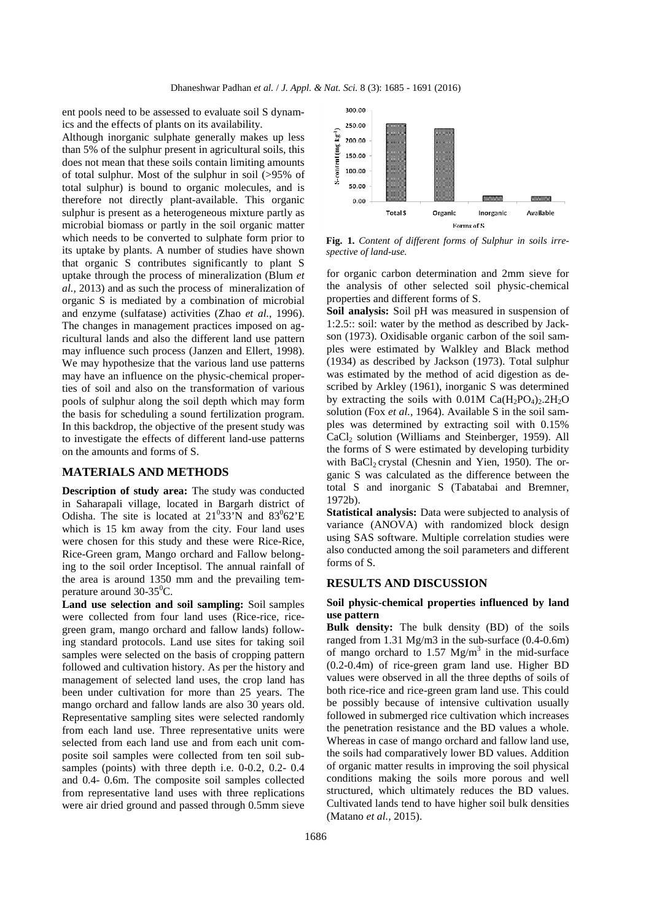ent pools need to be assessed to evaluate soil S dynamics and the effects of plants on its availability.

Although inorganic sulphate generally makes up less than 5% of the sulphur present in agricultural soils, this does not mean that these soils contain limiting amounts of total sulphur. Most of the sulphur in soil (>95% of total sulphur) is bound to organic molecules, and is therefore not directly plant-available. This organic sulphur is present as a heterogeneous mixture partly as microbial biomass or partly in the soil organic matter which needs to be converted to sulphate form prior to its uptake by plants. A number of studies have shown that organic S contributes significantly to plant S uptake through the process of mineralization (Blum *et al.,* 2013) and as such the process of mineralization of organic S is mediated by a combination of microbial and enzyme (sulfatase) activities (Zhao *et al.,* 1996). The changes in management practices imposed on agricultural lands and also the different land use pattern may influence such process (Janzen and Ellert, 1998). We may hypothesize that the various land use patterns may have an influence on the physic-chemical properties of soil and also on the transformation of various pools of sulphur along the soil depth which may form the basis for scheduling a sound fertilization program. In this backdrop, the objective of the present study was to investigate the effects of different land-use patterns on the amounts and forms of S.

## **MATERIALS AND METHODS**

**Description of study area:** The study was conducted in Saharapali village, located in Bargarh district of Odisha. The site is located at  $21^033'N$  and  $83^062'E$ which is 15 km away from the city. Four land uses were chosen for this study and these were Rice-Rice, Rice-Green gram, Mango orchard and Fallow belonging to the soil order Inceptisol. The annual rainfall of the area is around 1350 mm and the prevailing temperature around  $30-35^{\circ}$ C.

**Land use selection and soil sampling:** Soil samples were collected from four land uses (Rice-rice, ricegreen gram, mango orchard and fallow lands) following standard protocols. Land use sites for taking soil samples were selected on the basis of cropping pattern followed and cultivation history. As per the history and management of selected land uses, the crop land has been under cultivation for more than 25 years. The mango orchard and fallow lands are also 30 years old. Representative sampling sites were selected randomly from each land use. Three representative units were selected from each land use and from each unit composite soil samples were collected from ten soil subsamples (points) with three depth i.e. 0-0.2, 0.2- 0.4 and 0.4- 0.6m. The composite soil samples collected from representative land uses with three replications were air dried ground and passed through 0.5mm sieve



**Fig. 1.** *Content of different forms of Sulphur in soils irrespective of land-use.*

for organic carbon determination and 2mm sieve for the analysis of other selected soil physic-chemical properties and different forms of S.

**Soil analysis:** Soil pH was measured in suspension of 1:2.5:: soil: water by the method as described by Jackson (1973). Oxidisable organic carbon of the soil samples were estimated by Walkley and Black method (1934) as described by Jackson (1973). Total sulphur was estimated by the method of acid digestion as described by Arkley (1961), inorganic S was determined by extracting the soils with  $0.01M$  Ca( $H_2PO_4$ )<sub>2</sub>.2H<sub>2</sub>O solution (Fox *et al.,* 1964). Available S in the soil samples was determined by extracting soil with 0.15% CaCl<sub>2</sub> solution (Williams and Steinberger, 1959). All the forms of S were estimated by developing turbidity with BaCl<sub>2</sub> crystal (Chesnin and Yien, 1950). The organic S was calculated as the difference between the total S and inorganic S (Tabatabai and Bremner, 1972b).

**Statistical analysis:** Data were subjected to analysis of variance (ANOVA) with randomized block design using SAS software. Multiple correlation studies were also conducted among the soil parameters and different forms of S.

#### **RESULTS AND DISCUSSION**

#### **Soil physic-chemical properties influenced by land use pattern**

**Bulk density:** The bulk density (BD) of the soils ranged from 1.31 Mg/m3 in the sub-surface (0.4-0.6m) of mango orchard to  $1.57 \text{ Mg/m}^3$  in the mid-surface (0.2-0.4m) of rice-green gram land use. Higher BD values were observed in all the three depths of soils of both rice-rice and rice-green gram land use. This could be possibly because of intensive cultivation usually followed in submerged rice cultivation which increases the penetration resistance and the BD values a whole. Whereas in case of mango orchard and fallow land use, the soils had comparatively lower BD values. Addition of organic matter results in improving the soil physical conditions making the soils more porous and well structured, which ultimately reduces the BD values. Cultivated lands tend to have higher soil bulk densities (Matano *et al.,* 2015).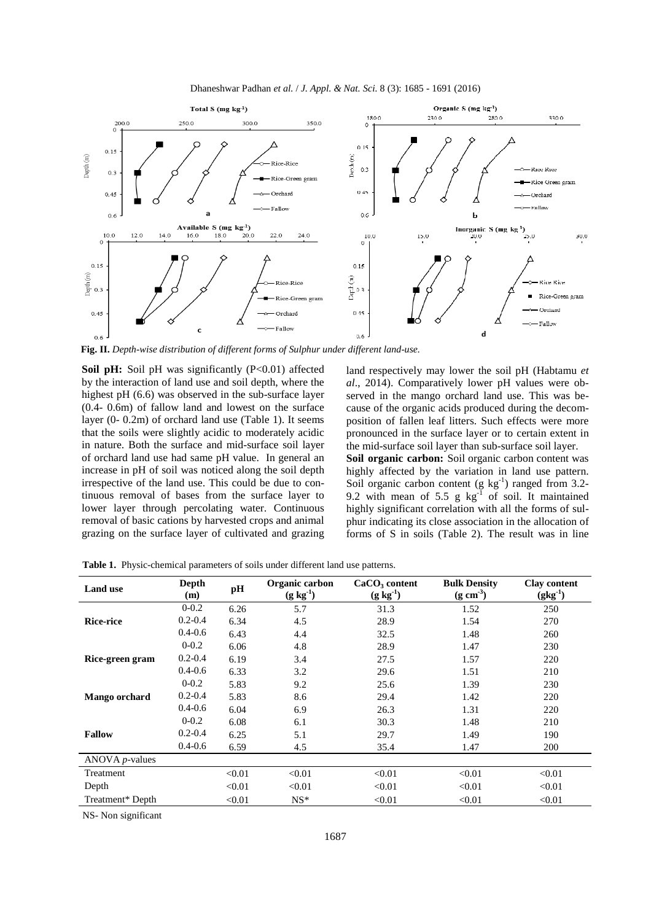



**Fig. II.** *Depth-wise distribution of different forms of Sulphur under different land-use.* 

**Soil pH:** Soil pH was significantly (P<0.01) affected by the interaction of land use and soil depth, where the highest pH (6.6) was observed in the sub-surface layer (0.4- 0.6m) of fallow land and lowest on the surface layer (0- 0.2m) of orchard land use (Table 1). It seems that the soils were slightly acidic to moderately acidic in nature. Both the surface and mid-surface soil layer of orchard land use had same pH value. In general an increase in pH of soil was noticed along the soil depth irrespective of the land use. This could be due to continuous removal of bases from the surface layer to lower layer through percolating water. Continuous removal of basic cations by harvested crops and animal grazing on the surface layer of cultivated and grazing

land respectively may lower the soil pH (Habtamu *et al*., 2014). Comparatively lower pH values were observed in the mango orchard land use. This was because of the organic acids produced during the decomposition of fallen leaf litters. Such effects were more pronounced in the surface layer or to certain extent in the mid-surface soil layer than sub-surface soil layer. **Soil organic carbon:** Soil organic carbon content was highly affected by the variation in land use pattern. Soil organic carbon content (g  $kg^{-1}$ ) ranged from 3.2-9.2 with mean of 5.5 g  $kg^{-1}$  of soil. It maintained highly significant correlation with all the forms of sulphur indicating its close association in the allocation of

forms of S in soils (Table 2). The result was in line

| <b>Land use</b>   | Depth<br>(m) | pН     | Organic carbon<br>$(g \, kg^{-1})$ | CaCO <sub>3</sub> content<br>$(g \, kg^{-1})$ | <b>Bulk Density</b><br>$(g \text{ cm}^3)$ | <b>Clay content</b><br>$(gkg^{-1})$ |
|-------------------|--------------|--------|------------------------------------|-----------------------------------------------|-------------------------------------------|-------------------------------------|
| <b>Rice-rice</b>  | $0 - 0.2$    | 6.26   | 5.7                                | 31.3                                          | 1.52                                      | 250                                 |
|                   | $0.2 - 0.4$  | 6.34   | 4.5                                | 28.9                                          | 1.54                                      | 270                                 |
|                   | $0.4 - 0.6$  | 6.43   | 4.4                                | 32.5                                          | 1.48                                      | 260                                 |
| Rice-green gram   | $0 - 0.2$    | 6.06   | 4.8                                | 28.9                                          | 1.47                                      | 230                                 |
|                   | $0.2 - 0.4$  | 6.19   | 3.4                                | 27.5                                          | 1.57                                      | 220                                 |
|                   | $0.4 - 0.6$  | 6.33   | 3.2                                | 29.6                                          | 1.51                                      | 210                                 |
| Mango orchard     | $0 - 0.2$    | 5.83   | 9.2                                | 25.6                                          | 1.39                                      | 230                                 |
|                   | $0.2 - 0.4$  | 5.83   | 8.6                                | 29.4                                          | 1.42                                      | 220                                 |
|                   | $0.4 - 0.6$  | 6.04   | 6.9                                | 26.3                                          | 1.31                                      | 220                                 |
| <b>Fallow</b>     | $0 - 0.2$    | 6.08   | 6.1                                | 30.3                                          | 1.48                                      | 210                                 |
|                   | $0.2 - 0.4$  | 6.25   | 5.1                                | 29.7                                          | 1.49                                      | 190                                 |
|                   | $0.4 - 0.6$  | 6.59   | 4.5                                | 35.4                                          | 1.47                                      | 200                                 |
| ANOVA $p$ -values |              |        |                                    |                                               |                                           |                                     |
| Treatment         |              | < 0.01 | < 0.01                             | < 0.01                                        | < 0.01                                    | < 0.01                              |
| Depth             |              | < 0.01 | < 0.01                             | < 0.01                                        | < 0.01                                    | < 0.01                              |
| Treatment* Depth  |              | < 0.01 | $NS^*$                             | < 0.01                                        | < 0.01                                    | < 0.01                              |

**Table 1.** Physic-chemical parameters of soils under different land use patterns.

NS- Non significant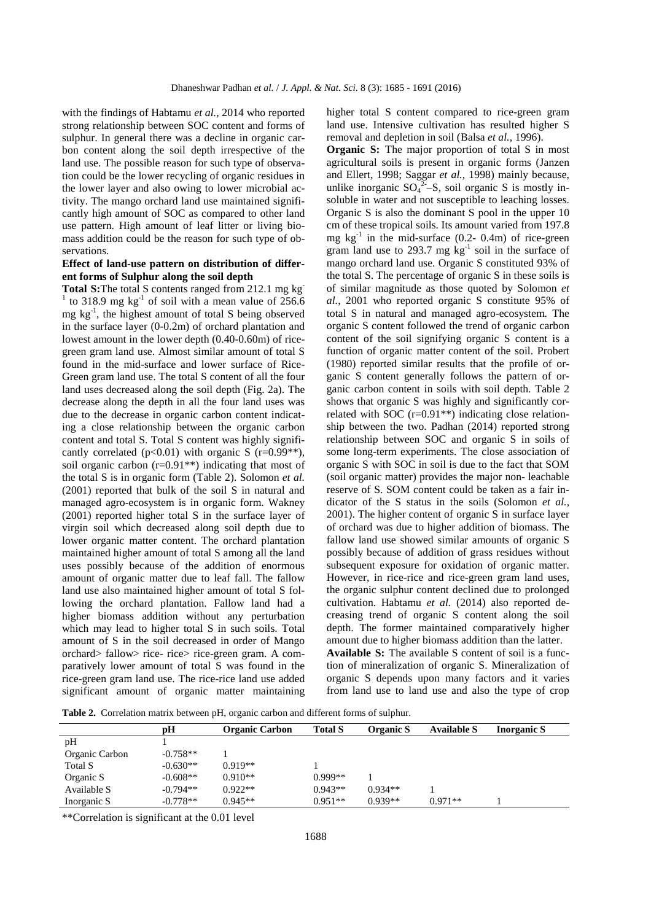with the findings of Habtamu *et al.,* 2014 who reported strong relationship between SOC content and forms of sulphur. In general there was a decline in organic carbon content along the soil depth irrespective of the land use. The possible reason for such type of observation could be the lower recycling of organic residues in the lower layer and also owing to lower microbial activity. The mango orchard land use maintained significantly high amount of SOC as compared to other land use pattern. High amount of leaf litter or living biomass addition could be the reason for such type of observations.

### **Effect of land-use pattern on distribution of different forms of Sulphur along the soil depth**

**Total S:**The total S contents ranged from 212.1 mg kg-<sup>1</sup> to 318.9 mg kg<sup>-1</sup> of soil with a mean value of  $256.6$ mg  $kg<sup>-1</sup>$ , the highest amount of total S being observed in the surface layer (0-0.2m) of orchard plantation and lowest amount in the lower depth (0.40-0.60m) of ricegreen gram land use. Almost similar amount of total S found in the mid-surface and lower surface of Rice-Green gram land use. The total S content of all the four land uses decreased along the soil depth (Fig. 2a). The decrease along the depth in all the four land uses was due to the decrease in organic carbon content indicating a close relationship between the organic carbon content and total S. Total S content was highly significantly correlated ( $p<0.01$ ) with organic S ( $r=0.99**$ ), soil organic carbon  $(r=0.91**)$  indicating that most of the total S is in organic form (Table 2). Solomon *et al.* (2001) reported that bulk of the soil S in natural and managed agro-ecosystem is in organic form. Wakney (2001) reported higher total S in the surface layer of virgin soil which decreased along soil depth due to lower organic matter content. The orchard plantation maintained higher amount of total S among all the land uses possibly because of the addition of enormous amount of organic matter due to leaf fall. The fallow land use also maintained higher amount of total S following the orchard plantation. Fallow land had a higher biomass addition without any perturbation which may lead to higher total S in such soils. Total amount of S in the soil decreased in order of Mango orchard> fallow> rice- rice> rice-green gram. A comparatively lower amount of total S was found in the rice-green gram land use. The rice-rice land use added significant amount of organic matter maintaining

higher total S content compared to rice-green gram land use. Intensive cultivation has resulted higher S removal and depletion in soil (Balsa *et al.,* 1996).

**Organic S:** The major proportion of total S in most agricultural soils is present in organic forms (Janzen and Ellert, 1998; Saggar *et al.,* 1998) mainly because, unlike inorganic  $SO_4^2-S$ , soil organic S is mostly insoluble in water and not susceptible to leaching losses. Organic S is also the dominant S pool in the upper 10 cm of these tropical soils. Its amount varied from 197.8 mg  $kg^{-1}$  in the mid-surface (0.2- 0.4m) of rice-green gram land use to 293.7 mg  $kg^{-1}$  soil in the surface of mango orchard land use. Organic S constituted 93% of the total S. The percentage of organic S in these soils is of similar magnitude as those quoted by Solomon *et al.,* 2001 who reported organic S constitute 95% of total S in natural and managed agro-ecosystem. The organic S content followed the trend of organic carbon content of the soil signifying organic S content is a function of organic matter content of the soil. Probert (1980) reported similar results that the profile of organic S content generally follows the pattern of organic carbon content in soils with soil depth. Table 2 shows that organic S was highly and significantly correlated with SOC  $(r=0.91**)$  indicating close relationship between the two. Padhan (2014) reported strong relationship between SOC and organic S in soils of some long-term experiments. The close association of organic S with SOC in soil is due to the fact that SOM (soil organic matter) provides the major non- leachable reserve of S. SOM content could be taken as a fair indicator of the S status in the soils (Solomon *et al.,* 2001). The higher content of organic S in surface layer of orchard was due to higher addition of biomass. The fallow land use showed similar amounts of organic S possibly because of addition of grass residues without subsequent exposure for oxidation of organic matter. However, in rice-rice and rice-green gram land uses, the organic sulphur content declined due to prolonged cultivation. Habtamu *et al.* (2014) also reported decreasing trend of organic S content along the soil depth. The former maintained comparatively higher amount due to higher biomass addition than the latter. **Available S:** The available S content of soil is a function of mineralization of organic S. Mineralization of organic S depends upon many factors and it varies from land use to land use and also the type of crop

**Table 2.** Correlation matrix between pH, organic carbon and different forms of sulphur.

|                | рH         | <b>Organic Carbon</b> | <b>Total S</b> | Organic S | <b>Available S</b> | Inorganic S |
|----------------|------------|-----------------------|----------------|-----------|--------------------|-------------|
| pH             |            |                       |                |           |                    |             |
| Organic Carbon | $-0.758**$ |                       |                |           |                    |             |
| Total S        | $-0.630**$ | $0.919**$             |                |           |                    |             |
| Organic S      | $-0.608**$ | $0.910**$             | $0.999**$      |           |                    |             |
| Available S    | $-0.794**$ | $0.922**$             | $0.943**$      | $0.934**$ |                    |             |
| Inorganic S    | $-0.778**$ | $0.945**$             | $0.951**$      | $0.939**$ | $0.971**$          |             |

\*\*Correlation is significant at the 0.01 level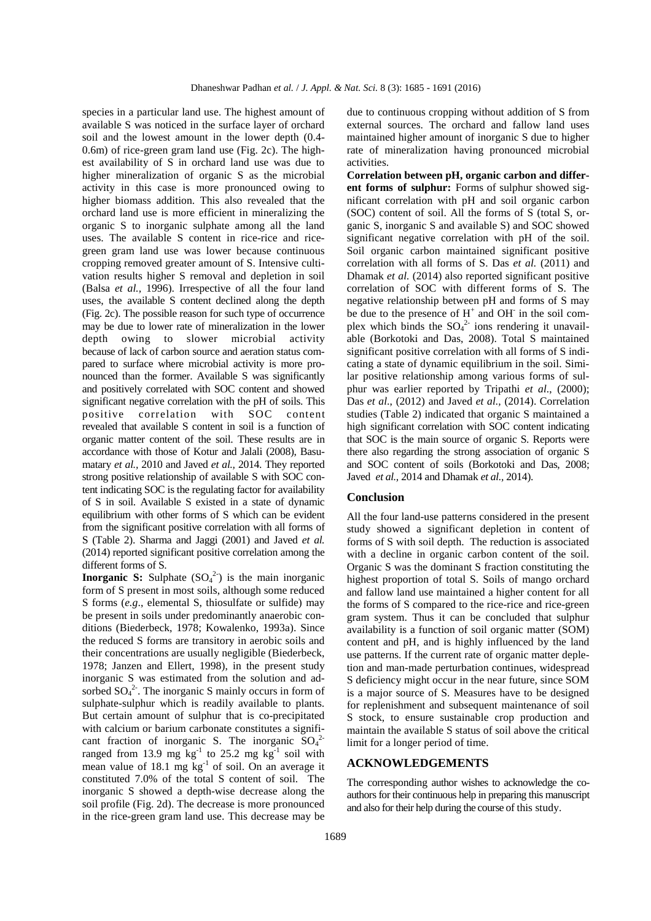species in a particular land use. The highest amount of available S was noticed in the surface layer of orchard soil and the lowest amount in the lower depth (0.4- 0.6m) of rice-green gram land use (Fig. 2c). The highest availability of S in orchard land use was due to higher mineralization of organic S as the microbial activity in this case is more pronounced owing to higher biomass addition. This also revealed that the orchard land use is more efficient in mineralizing the organic S to inorganic sulphate among all the land uses. The available S content in rice-rice and ricegreen gram land use was lower because continuous cropping removed greater amount of S. Intensive cultivation results higher S removal and depletion in soil (Balsa *et al.,* 1996). Irrespective of all the four land uses, the available S content declined along the depth (Fig. 2c). The possible reason for such type of occurrence may be due to lower rate of mineralization in the lower depth owing to slower microbial activity because of lack of carbon source and aeration status compared to surface where microbial activity is more pronounced than the former. Available S was significantly and positively correlated with SOC content and showed significant negative correlation with the pH of soils. This positive correlation with SOC content revealed that available S content in soil is a function of organic matter content of the soil. These results are in accordance with those of Kotur and Jalali (2008), Basumatary *et al.,* 2010 and Javed *et al.,* 2014. They reported strong positive relationship of available S with SOC content indicating SOC is the regulating factor for availability of S in soil. Available S existed in a state of dynamic equilibrium with other forms of S which can be evident from the significant positive correlation with all forms of S (Table 2). Sharma and Jaggi (2001) and Javed *et al.* (2014) reported significant positive correlation among the different forms of S.

**Inorganic S:** Sulphate  $(SO_4^2)$  is the main inorganic form of S present in most soils, although some reduced S forms (*e.g*., elemental S, thiosulfate or sulfide) may be present in soils under predominantly anaerobic conditions (Biederbeck, 1978; Kowalenko, 1993a). Since the reduced S forms are transitory in aerobic soils and their concentrations are usually negligible (Biederbeck, 1978; Janzen and Ellert, 1998), in the present study inorganic S was estimated from the solution and adsorbed  $SO_4^2$ . The inorganic S mainly occurs in form of sulphate-sulphur which is readily available to plants. But certain amount of sulphur that is co-precipitated with calcium or barium carbonate constitutes a significant fraction of inorganic S. The inorganic  $SO_4^2$ ranged from 13.9 mg  $kg^{-1}$  to 25.2 mg  $kg^{-1}$  soil with mean value of 18.1 mg  $kg^{-1}$  of soil. On an average it constituted 7.0% of the total S content of soil. The inorganic S showed a depth-wise decrease along the soil profile (Fig. 2d). The decrease is more pronounced in the rice-green gram land use. This decrease may be

due to continuous cropping without addition of S from external sources. The orchard and fallow land uses maintained higher amount of inorganic S due to higher rate of mineralization having pronounced microbial activities.

**Correlation between pH, organic carbon and different forms of sulphur:** Forms of sulphur showed significant correlation with pH and soil organic carbon (SOC) content of soil. All the forms of S (total S, organic S, inorganic S and available S) and SOC showed significant negative correlation with pH of the soil. Soil organic carbon maintained significant positive correlation with all forms of S. Das *et al.* (2011) and Dhamak *et al.* (2014) also reported significant positive correlation of SOC with different forms of S. The negative relationship between pH and forms of S may be due to the presence of  $H^+$  and OH $^-$  in the soil complex which binds the  $SO_4^2$  ions rendering it unavailable (Borkotoki and Das, 2008). Total S maintained significant positive correlation with all forms of S indicating a state of dynamic equilibrium in the soil. Similar positive relationship among various forms of sulphur was earlier reported by Tripathi *et al*., (2000); Das *et al*., (2012) and Javed *et al.,* (2014). Correlation studies (Table 2) indicated that organic S maintained a high significant correlation with SOC content indicating that SOC is the main source of organic S. Reports were there also regarding the strong association of organic S and SOC content of soils (Borkotoki and Das, 2008; Javed *et al.,* 2014 and Dhamak *et al.,* 2014).

## **Conclusion**

All the four land-use patterns considered in the present study showed a significant depletion in content of forms of S with soil depth. The reduction is associated with a decline in organic carbon content of the soil. Organic S was the dominant S fraction constituting the highest proportion of total S. Soils of mango orchard and fallow land use maintained a higher content for all the forms of S compared to the rice-rice and rice-green gram system. Thus it can be concluded that sulphur availability is a function of soil organic matter (SOM) content and pH, and is highly influenced by the land use patterns. If the current rate of organic matter depletion and man-made perturbation continues, widespread S deficiency might occur in the near future, since SOM is a major source of S. Measures have to be designed for replenishment and subsequent maintenance of soil S stock, to ensure sustainable crop production and maintain the available S status of soil above the critical limit for a longer period of time.

#### **ACKNOWLEDGEMENTS**

The corresponding author wishes to acknowledge the coauthors for their continuous help in preparing this manuscript and also for their help during the course of this study.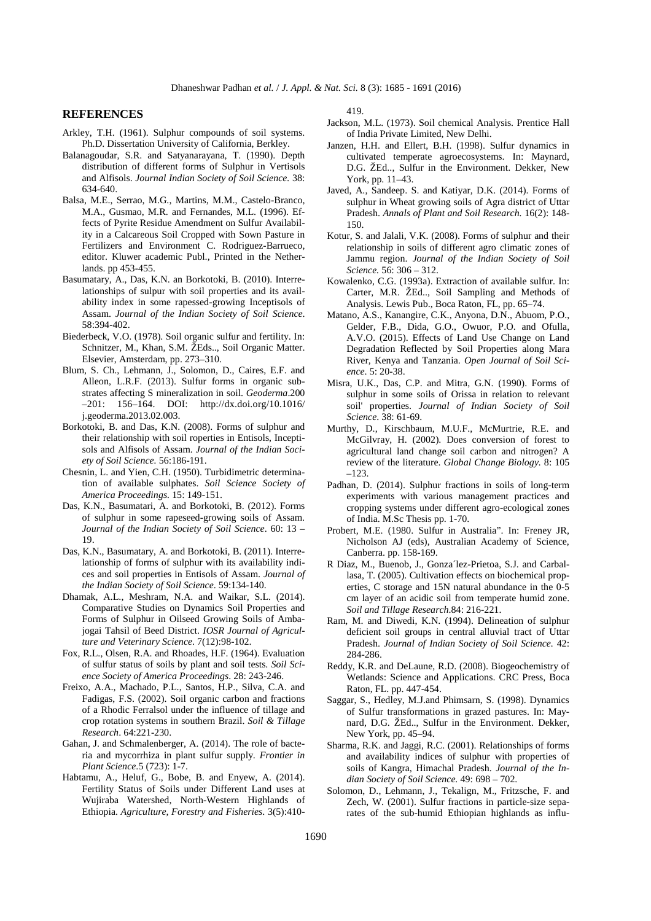## **REFERENCES**

- Arkley, T.H. (1961). Sulphur compounds of soil systems. Ph.D. Dissertation University of California, Berkley.
- Balanagoudar, S.R. and Satyanarayana, T. (1990). Depth distribution of different forms of Sulphur in Vertisols and Alfisols. *Journal Indian Society of Soil Science.* 38: 634-640.
- Balsa, M.E., Serrao, M.G., Martins, M.M., Castelo-Branco, M.A., Gusmao, M.R. and Fernandes, M.L. (1996). Effects of Pyrite Residue Amendment on Sulfur Availability in a Calcareous Soil Cropped with Sown Pasture in Fertilizers and Environment C. Rodriguez-Barrueco, editor. Kluwer academic Publ., Printed in the Netherlands. pp 453-455.
- Basumatary, A., Das, K.N. an Borkotoki, B. (2010). Interrelationships of sulpur with soil properties and its availability index in some rapessed-growing Inceptisols of Assam. *Journal of the Indian Society of Soil Science*. 58:394-402.
- Biederbeck, V.O. (1978). Soil organic sulfur and fertility. In: Schnitzer, M., Khan, S.M. ŽEds.., Soil Organic Matter. Elsevier, Amsterdam, pp. 273–310.
- Blum, S. Ch., Lehmann, J., Solomon, D., Caires, E.F. and Alleon, L.R.F. (2013). Sulfur forms in organic substrates affecting S mineralization in soil. *Geoderma*.200 –201: 156–164. DOI: http://dx.doi.org/10.1016/ j.geoderma.2013.02.003.
- Borkotoki, B. and Das, K.N. (2008). Forms of sulphur and their relationship with soil roperties in Entisols, Inceptisols and Alfisols of Assam. *Journal of the Indian Society of Soil Science.* 56:186-191.
- Chesnin, L. and Yien, C.H. (1950). Turbidimetric determination of available sulphates. *Soil Science Society of America Proceedings.* 15: 149-151.
- Das, K.N., Basumatari, A. and Borkotoki, B. (2012). Forms of sulphur in some rapeseed-growing soils of Assam. *Journal of the Indian Society of Soil Science*. 60: 13 – 19.
- Das, K.N., Basumatary, A. and Borkotoki, B. (2011). Interrelationship of forms of sulphur with its availability indices and soil properties in Entisols of Assam. *Journal of the Indian Society of Soil Science*. 59:134-140.
- Dhamak, A.L., Meshram, N.A. and Waikar, S.L. (2014). Comparative Studies on Dynamics Soil Properties and Forms of Sulphur in Oilseed Growing Soils of Ambajogai Tahsil of Beed District. *IOSR Journal of Agriculture and Veterinary Science*. 7(12):98-102.
- Fox, R.L., Olsen, R.A. and Rhoades, H.F. (1964). Evaluation of sulfur status of soils by plant and soil tests. *Soil Science Society of America Proceedings*. 28: 243-246.
- Freixo, A.A., Machado, P.L., Santos, H.P., Silva, C.A. and Fadigas, F.S. (2002). Soil organic carbon and fractions of a Rhodic Ferralsol under the influence of tillage and crop rotation systems in southern Brazil. *Soil & Tillage Research*. 64:221-230.
- Gahan, J. and Schmalenberger, A. (2014). The role of bacteria and mycorrhiza in plant sulfur supply. *Frontier in Plant Science*.5 (723): 1-7.
- Habtamu, A., Heluf, G., Bobe, B. and Enyew, A. (2014). Fertility Status of Soils under Different Land uses at Wujiraba Watershed, North-Western Highlands of Ethiopia. *Agriculture, Forestry and Fisheries*. 3(5):410-

419.

- Jackson, M.L. (1973). Soil chemical Analysis. Prentice Hall of India Private Limited, New Delhi.
- Janzen, H.H. and Ellert, B.H. (1998). Sulfur dynamics in cultivated temperate agroecosystems. In: Maynard, D.G. ŽEd.., Sulfur in the Environment. Dekker, New York, pp. 11–43.
- Javed, A., Sandeep. S. and Katiyar, D.K. (2014). Forms of sulphur in Wheat growing soils of Agra district of Uttar Pradesh. *Annals of Plant and Soil Research.* 16(2): 148- 150.
- Kotur, S. and Jalali, V.K. (2008). Forms of sulphur and their relationship in soils of different agro climatic zones of Jammu region. *Journal of the Indian Society of Soil Science.* 56: 306 – 312.
- Kowalenko, C.G. (1993a). Extraction of available sulfur. In: Carter, M.R. ŽEd.., Soil Sampling and Methods of Analysis. Lewis Pub., Boca Raton, FL, pp. 65–74.
- Matano, A.S., Kanangire, C.K., Anyona, D.N., Abuom, P.O., Gelder, F.B., Dida, G.O., Owuor, P.O. and Ofulla, A.V.O. (2015). Effects of Land Use Change on Land Degradation Reflected by Soil Properties along Mara River, Kenya and Tanzania. *Open Journal of Soil Science*. 5: 20-38.
- Misra, U.K., Das, C.P. and Mitra, G.N. (1990). Forms of sulphur in some soils of Orissa in relation to relevant soil' properties. *Journal of Indian Society of Soil Science*. 38: 61-69.
- Murthy, D., Kirschbaum, M.U.F., McMurtrie, R.E. and McGilvray, H. (2002). Does conversion of forest to agricultural land change soil carbon and nitrogen? A review of the literature. *Global Change Biology.* 8: 105 –123.
- Padhan, D. (2014). Sulphur fractions in soils of long-term experiments with various management practices and cropping systems under different agro-ecological zones of India. M.Sc Thesis pp. 1-70.
- Probert, M.E. (1980. Sulfur in Australia". In: Freney JR, Nicholson AJ (eds), Australian Academy of Science, Canberra. pp. 158-169.
- R Diaz, M., Buenob, J., Gonza´lez-Prietoa, S.J. and Carballasa, T. (2005). Cultivation effects on biochemical properties, C storage and 15N natural abundance in the 0-5 cm layer of an acidic soil from temperate humid zone. *Soil and Tillage Research*.84: 216-221.
- Ram, M. and Diwedi, K.N. (1994). Delineation of sulphur deficient soil groups in central alluvial tract of Uttar Pradesh. *Journal of Indian Society of Soil Science.* 42: 284-286.
- Reddy, K.R. and DeLaune, R.D. (2008). Biogeochemistry of Wetlands: Science and Applications. CRC Press, Boca Raton, FL. pp. 447-454.
- Saggar, S., Hedley, M.J.and Phimsarn, S. (1998). Dynamics of Sulfur transformations in grazed pastures. In: Maynard, D.G. ŽEd.., Sulfur in the Environment. Dekker, New York, pp. 45–94.
- Sharma, R.K. and Jaggi, R.C. (2001). Relationships of forms and availability indices of sulphur with properties of soils of Kangra, Himachal Pradesh. *Journal of the Indian Society of Soil Science.* 49: 698 – 702.
- Solomon, D., Lehmann, J., Tekalign, M., Fritzsche, F. and Zech, W. (2001). Sulfur fractions in particle-size separates of the sub-humid Ethiopian highlands as influ-